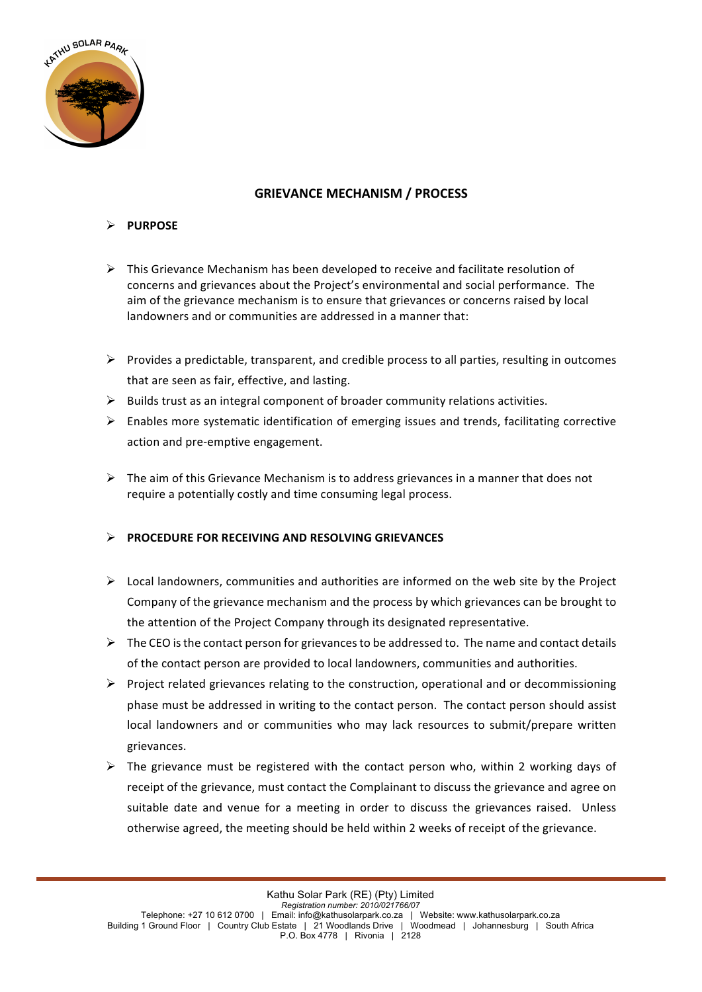

## **GRIEVANCE MECHANISM / PROCESS**

## Ø **PURPOSE**

- $\triangleright$  This Grievance Mechanism has been developed to receive and facilitate resolution of concerns and grievances about the Project's environmental and social performance. The aim of the grievance mechanism is to ensure that grievances or concerns raised by local landowners and or communities are addressed in a manner that:
- $\triangleright$  Provides a predictable, transparent, and credible process to all parties, resulting in outcomes that are seen as fair, effective, and lasting.
- $\triangleright$  Builds trust as an integral component of broader community relations activities.
- $\triangleright$  Enables more systematic identification of emerging issues and trends, facilitating corrective action and pre-emptive engagement.
- $\triangleright$  The aim of this Grievance Mechanism is to address grievances in a manner that does not require a potentially costly and time consuming legal process.

## **EXECTEDURE FOR RECEIVING AND RESOLVING GRIEVANCES**

- $\triangleright$  Local landowners, communities and authorities are informed on the web site by the Project Company of the grievance mechanism and the process by which grievances can be brought to the attention of the Project Company through its designated representative.
- $\triangleright$  The CEO is the contact person for grievances to be addressed to. The name and contact details of the contact person are provided to local landowners, communities and authorities.
- $\triangleright$  Project related grievances relating to the construction, operational and or decommissioning phase must be addressed in writing to the contact person. The contact person should assist local landowners and or communities who may lack resources to submit/prepare written grievances.
- $\triangleright$  The grievance must be registered with the contact person who, within 2 working days of receipt of the grievance, must contact the Complainant to discuss the grievance and agree on suitable date and venue for a meeting in order to discuss the grievances raised. Unless otherwise agreed, the meeting should be held within 2 weeks of receipt of the grievance.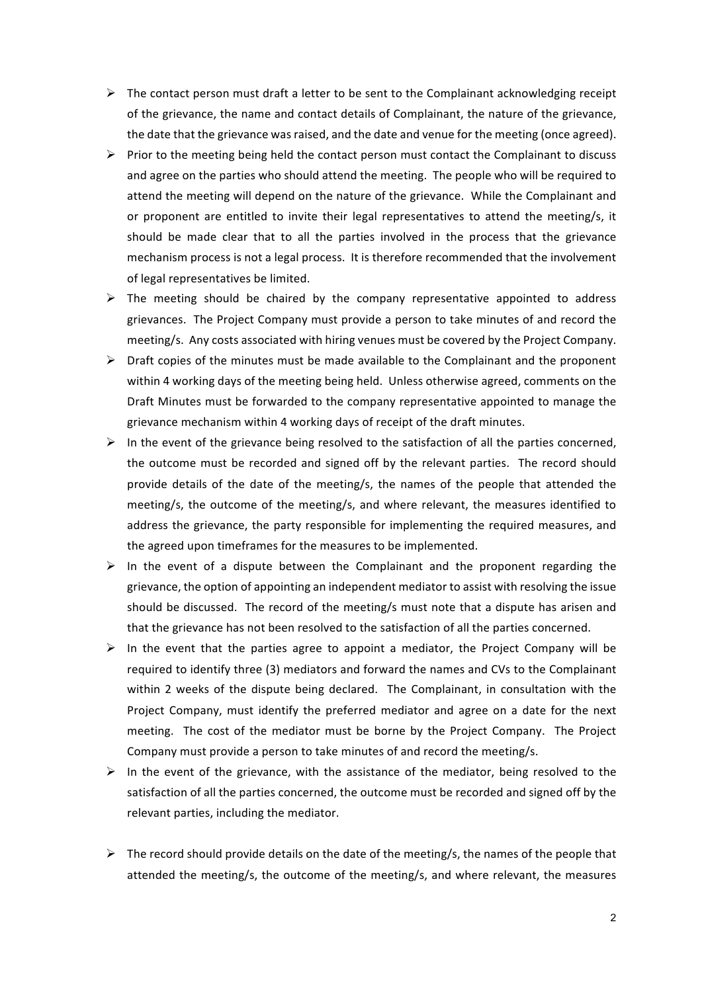- $\triangleright$  The contact person must draft a letter to be sent to the Complainant acknowledging receipt of the grievance, the name and contact details of Complainant, the nature of the grievance, the date that the grievance was raised, and the date and venue for the meeting (once agreed).
- $\triangleright$  Prior to the meeting being held the contact person must contact the Complainant to discuss and agree on the parties who should attend the meeting. The people who will be required to attend the meeting will depend on the nature of the grievance. While the Complainant and or proponent are entitled to invite their legal representatives to attend the meeting/s, it should be made clear that to all the parties involved in the process that the grievance mechanism process is not a legal process. It is therefore recommended that the involvement of legal representatives be limited.
- $\triangleright$  The meeting should be chaired by the company representative appointed to address grievances. The Project Company must provide a person to take minutes of and record the meeting/s. Any costs associated with hiring venues must be covered by the Project Company.
- $\triangleright$  Draft copies of the minutes must be made available to the Complainant and the proponent within 4 working days of the meeting being held. Unless otherwise agreed, comments on the Draft Minutes must be forwarded to the company representative appointed to manage the grievance mechanism within 4 working days of receipt of the draft minutes.
- $\triangleright$  In the event of the grievance being resolved to the satisfaction of all the parties concerned, the outcome must be recorded and signed off by the relevant parties. The record should provide details of the date of the meeting/s, the names of the people that attended the meeting/s, the outcome of the meeting/s, and where relevant, the measures identified to address the grievance, the party responsible for implementing the required measures, and the agreed upon timeframes for the measures to be implemented.
- $\triangleright$  In the event of a dispute between the Complainant and the proponent regarding the grievance, the option of appointing an independent mediator to assist with resolving the issue should be discussed. The record of the meeting/s must note that a dispute has arisen and that the grievance has not been resolved to the satisfaction of all the parties concerned.
- $\triangleright$  In the event that the parties agree to appoint a mediator, the Project Company will be required to identify three (3) mediators and forward the names and CVs to the Complainant within 2 weeks of the dispute being declared. The Complainant, in consultation with the Project Company, must identify the preferred mediator and agree on a date for the next meeting. The cost of the mediator must be borne by the Project Company. The Project Company must provide a person to take minutes of and record the meeting/s.
- $\triangleright$  In the event of the grievance, with the assistance of the mediator, being resolved to the satisfaction of all the parties concerned, the outcome must be recorded and signed off by the relevant parties, including the mediator.
- $\triangleright$  The record should provide details on the date of the meeting/s, the names of the people that attended the meeting/s, the outcome of the meeting/s, and where relevant, the measures